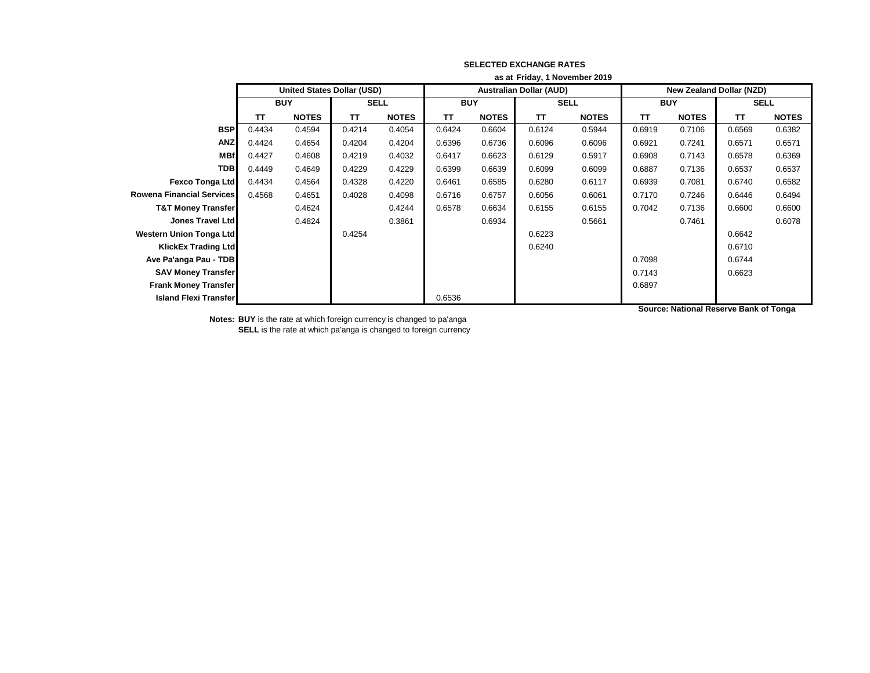|                                  | as at Friday, 1 November 2019 |                                   |             |              |            |              |                                |              |                                 |              |             |              |
|----------------------------------|-------------------------------|-----------------------------------|-------------|--------------|------------|--------------|--------------------------------|--------------|---------------------------------|--------------|-------------|--------------|
|                                  |                               | <b>United States Dollar (USD)</b> |             |              |            |              | <b>Australian Dollar (AUD)</b> |              | <b>New Zealand Dollar (NZD)</b> |              |             |              |
|                                  |                               | <b>BUY</b>                        | <b>SELL</b> |              | <b>BUY</b> |              | <b>SELL</b>                    |              | <b>BUY</b>                      |              | <b>SELL</b> |              |
|                                  | TΤ                            | <b>NOTES</b>                      | TΤ          | <b>NOTES</b> | ΤT         | <b>NOTES</b> | <b>TT</b>                      | <b>NOTES</b> | TΤ                              | <b>NOTES</b> | <b>TT</b>   | <b>NOTES</b> |
| <b>BSP</b>                       | 0.4434                        | 0.4594                            | 0.4214      | 0.4054       | 0.6424     | 0.6604       | 0.6124                         | 0.5944       | 0.6919                          | 0.7106       | 0.6569      | 0.6382       |
| <b>ANZ</b>                       | 0.4424                        | 0.4654                            | 0.4204      | 0.4204       | 0.6396     | 0.6736       | 0.6096                         | 0.6096       | 0.6921                          | 0.7241       | 0.6571      | 0.6571       |
| <b>MBf</b>                       | 0.4427                        | 0.4608                            | 0.4219      | 0.4032       | 0.6417     | 0.6623       | 0.6129                         | 0.5917       | 0.6908                          | 0.7143       | 0.6578      | 0.6369       |
| <b>TDB</b>                       | 0.4449                        | 0.4649                            | 0.4229      | 0.4229       | 0.6399     | 0.6639       | 0.6099                         | 0.6099       | 0.6887                          | 0.7136       | 0.6537      | 0.6537       |
| <b>Fexco Tonga Ltd</b>           | 0.4434                        | 0.4564                            | 0.4328      | 0.4220       | 0.6461     | 0.6585       | 0.6280                         | 0.6117       | 0.6939                          | 0.7081       | 0.6740      | 0.6582       |
| <b>Rowena Financial Services</b> | 0.4568                        | 0.4651                            | 0.4028      | 0.4098       | 0.6716     | 0.6757       | 0.6056                         | 0.6061       | 0.7170                          | 0.7246       | 0.6446      | 0.6494       |
| <b>T&amp;T Money Transfer</b>    |                               | 0.4624                            |             | 0.4244       | 0.6578     | 0.6634       | 0.6155                         | 0.6155       | 0.7042                          | 0.7136       | 0.6600      | 0.6600       |
| <b>Jones Travel Ltd</b>          |                               | 0.4824                            |             | 0.3861       |            | 0.6934       |                                | 0.5661       |                                 | 0.7461       |             | 0.6078       |
| <b>Western Union Tonga Ltd</b>   |                               |                                   | 0.4254      |              |            |              | 0.6223                         |              |                                 |              | 0.6642      |              |
| <b>KlickEx Trading Ltd</b>       |                               |                                   |             |              |            |              | 0.6240                         |              |                                 |              | 0.6710      |              |
| Ave Pa'anga Pau - TDB            |                               |                                   |             |              |            |              |                                |              | 0.7098                          |              | 0.6744      |              |
| <b>SAV Money Transfer</b>        |                               |                                   |             |              |            |              |                                |              | 0.7143                          |              | 0.6623      |              |
| <b>Frank Money Transfer</b>      |                               |                                   |             |              |            |              |                                |              | 0.6897                          |              |             |              |
| <b>Island Flexi Transfer</b>     |                               |                                   |             |              | 0.6536     |              |                                |              |                                 |              |             |              |

**Notes: BUY** is the rate at which foreign currency is changed to pa'anga **SELL** is the rate at which pa'anga is changed to foreign currency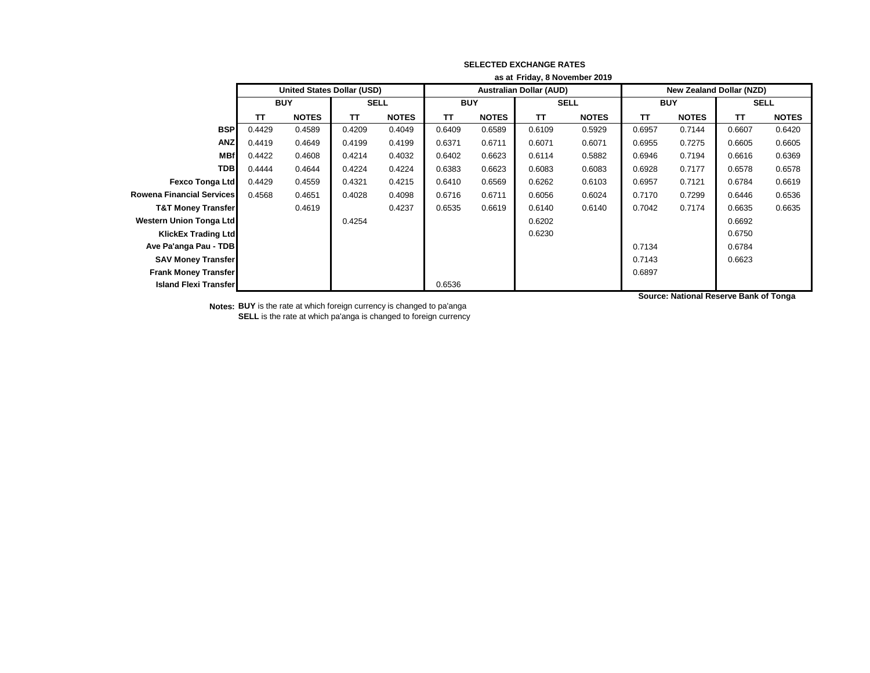|                                  | as at Friday, 8 November 2019 |                                   |             |              |                                |              |             |              |                                 |              |             |              |
|----------------------------------|-------------------------------|-----------------------------------|-------------|--------------|--------------------------------|--------------|-------------|--------------|---------------------------------|--------------|-------------|--------------|
|                                  |                               | <b>United States Dollar (USD)</b> |             |              | <b>Australian Dollar (AUD)</b> |              |             |              | <b>New Zealand Dollar (NZD)</b> |              |             |              |
|                                  | <b>BUY</b>                    |                                   | <b>SELL</b> |              | <b>BUY</b>                     |              | <b>SELL</b> |              | <b>BUY</b>                      |              | <b>SELL</b> |              |
|                                  | TΤ                            | <b>NOTES</b>                      | TΤ          | <b>NOTES</b> | ΤT                             | <b>NOTES</b> | <b>TT</b>   | <b>NOTES</b> | TΤ                              | <b>NOTES</b> | <b>TT</b>   | <b>NOTES</b> |
| <b>BSP</b>                       | 0.4429                        | 0.4589                            | 0.4209      | 0.4049       | 0.6409                         | 0.6589       | 0.6109      | 0.5929       | 0.6957                          | 0.7144       | 0.6607      | 0.6420       |
| <b>ANZ</b>                       | 0.4419                        | 0.4649                            | 0.4199      | 0.4199       | 0.6371                         | 0.6711       | 0.6071      | 0.6071       | 0.6955                          | 0.7275       | 0.6605      | 0.6605       |
| <b>MBf</b>                       | 0.4422                        | 0.4608                            | 0.4214      | 0.4032       | 0.6402                         | 0.6623       | 0.6114      | 0.5882       | 0.6946                          | 0.7194       | 0.6616      | 0.6369       |
| <b>TDB</b>                       | 0.4444                        | 0.4644                            | 0.4224      | 0.4224       | 0.6383                         | 0.6623       | 0.6083      | 0.6083       | 0.6928                          | 0.7177       | 0.6578      | 0.6578       |
| <b>Fexco Tonga Ltd</b>           | 0.4429                        | 0.4559                            | 0.4321      | 0.4215       | 0.6410                         | 0.6569       | 0.6262      | 0.6103       | 0.6957                          | 0.7121       | 0.6784      | 0.6619       |
| <b>Rowena Financial Services</b> | 0.4568                        | 0.4651                            | 0.4028      | 0.4098       | 0.6716                         | 0.6711       | 0.6056      | 0.6024       | 0.7170                          | 0.7299       | 0.6446      | 0.6536       |
| <b>T&amp;T Money Transfer</b>    |                               | 0.4619                            |             | 0.4237       | 0.6535                         | 0.6619       | 0.6140      | 0.6140       | 0.7042                          | 0.7174       | 0.6635      | 0.6635       |
| Western Union Tonga Ltd          |                               |                                   | 0.4254      |              |                                |              | 0.6202      |              |                                 |              | 0.6692      |              |
| <b>KlickEx Trading Ltd</b>       |                               |                                   |             |              |                                |              | 0.6230      |              |                                 |              | 0.6750      |              |
| Ave Pa'anga Pau - TDB            |                               |                                   |             |              |                                |              |             |              | 0.7134                          |              | 0.6784      |              |
| <b>SAV Money Transfer</b>        |                               |                                   |             |              |                                |              |             |              | 0.7143                          |              | 0.6623      |              |
| <b>Frank Money Transfer</b>      |                               |                                   |             |              |                                |              |             |              | 0.6897                          |              |             |              |
| <b>Island Flexi Transfer</b>     |                               |                                   |             |              | 0.6536                         |              |             |              |                                 |              |             |              |

**Notes: BUY** is the rate at which foreign currency is changed to pa'anga **SELL** is the rate at which pa'anga is changed to foreign currency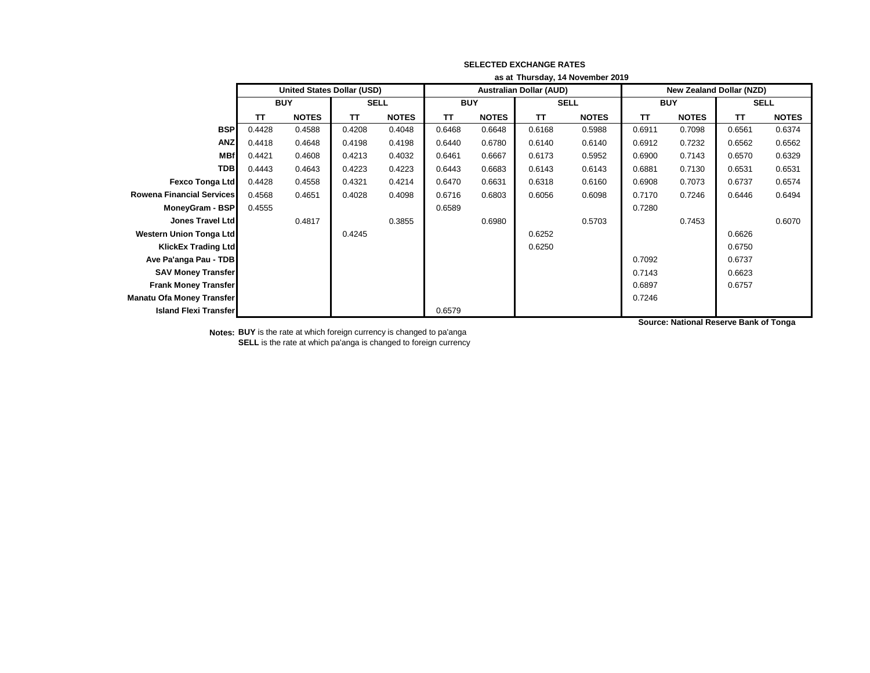|                                  | as at Thursday, 14 November 2019 |                                   |             |              |            |              |                                |              |                                 |              |             |              |  |
|----------------------------------|----------------------------------|-----------------------------------|-------------|--------------|------------|--------------|--------------------------------|--------------|---------------------------------|--------------|-------------|--------------|--|
|                                  |                                  | <b>United States Dollar (USD)</b> |             |              |            |              | <b>Australian Dollar (AUD)</b> |              | <b>New Zealand Dollar (NZD)</b> |              |             |              |  |
|                                  | <b>BUY</b>                       |                                   | <b>SELL</b> |              | <b>BUY</b> |              | <b>SELL</b>                    |              | <b>BUY</b>                      |              | <b>SELL</b> |              |  |
|                                  | TT                               | <b>NOTES</b>                      | <b>TT</b>   | <b>NOTES</b> | <b>TT</b>  | <b>NOTES</b> | <b>TT</b>                      | <b>NOTES</b> | <b>TT</b>                       | <b>NOTES</b> | <b>TT</b>   | <b>NOTES</b> |  |
| <b>BSP</b>                       | 0.4428                           | 0.4588                            | 0.4208      | 0.4048       | 0.6468     | 0.6648       | 0.6168                         | 0.5988       | 0.6911                          | 0.7098       | 0.6561      | 0.6374       |  |
| <b>ANZ</b>                       | 0.4418                           | 0.4648                            | 0.4198      | 0.4198       | 0.6440     | 0.6780       | 0.6140                         | 0.6140       | 0.6912                          | 0.7232       | 0.6562      | 0.6562       |  |
| <b>MBf</b>                       | 0.4421                           | 0.4608                            | 0.4213      | 0.4032       | 0.6461     | 0.6667       | 0.6173                         | 0.5952       | 0.6900                          | 0.7143       | 0.6570      | 0.6329       |  |
| <b>TDB</b>                       | 0.4443                           | 0.4643                            | 0.4223      | 0.4223       | 0.6443     | 0.6683       | 0.6143                         | 0.6143       | 0.6881                          | 0.7130       | 0.6531      | 0.6531       |  |
| Fexco Tonga Ltd                  | 0.4428                           | 0.4558                            | 0.4321      | 0.4214       | 0.6470     | 0.6631       | 0.6318                         | 0.6160       | 0.6908                          | 0.7073       | 0.6737      | 0.6574       |  |
| <b>Rowena Financial Services</b> | 0.4568                           | 0.4651                            | 0.4028      | 0.4098       | 0.6716     | 0.6803       | 0.6056                         | 0.6098       | 0.7170                          | 0.7246       | 0.6446      | 0.6494       |  |
| MoneyGram - BSP                  | 0.4555                           |                                   |             |              | 0.6589     |              |                                |              | 0.7280                          |              |             |              |  |
| <b>Jones Travel Ltd</b>          |                                  | 0.4817                            |             | 0.3855       |            | 0.6980       |                                | 0.5703       |                                 | 0.7453       |             | 0.6070       |  |
| <b>Western Union Tonga Ltd</b>   |                                  |                                   | 0.4245      |              |            |              | 0.6252                         |              |                                 |              | 0.6626      |              |  |
| <b>KlickEx Trading Ltd</b>       |                                  |                                   |             |              |            |              | 0.6250                         |              |                                 |              | 0.6750      |              |  |
| Ave Pa'anga Pau - TDB            |                                  |                                   |             |              |            |              |                                |              | 0.7092                          |              | 0.6737      |              |  |
| <b>SAV Money Transfer</b>        |                                  |                                   |             |              |            |              |                                |              | 0.7143                          |              | 0.6623      |              |  |
| <b>Frank Money Transfer</b>      |                                  |                                   |             |              |            |              |                                |              | 0.6897                          |              | 0.6757      |              |  |
| <b>Manatu Ofa Money Transfer</b> |                                  |                                   |             |              |            |              |                                |              | 0.7246                          |              |             |              |  |
| <b>Island Flexi Transfer</b>     |                                  |                                   |             |              | 0.6579     |              |                                |              |                                 |              |             |              |  |

**Notes: BUY** is the rate at which foreign currency is changed to pa'anga **SELL** is the rate at which pa'anga is changed to foreign currency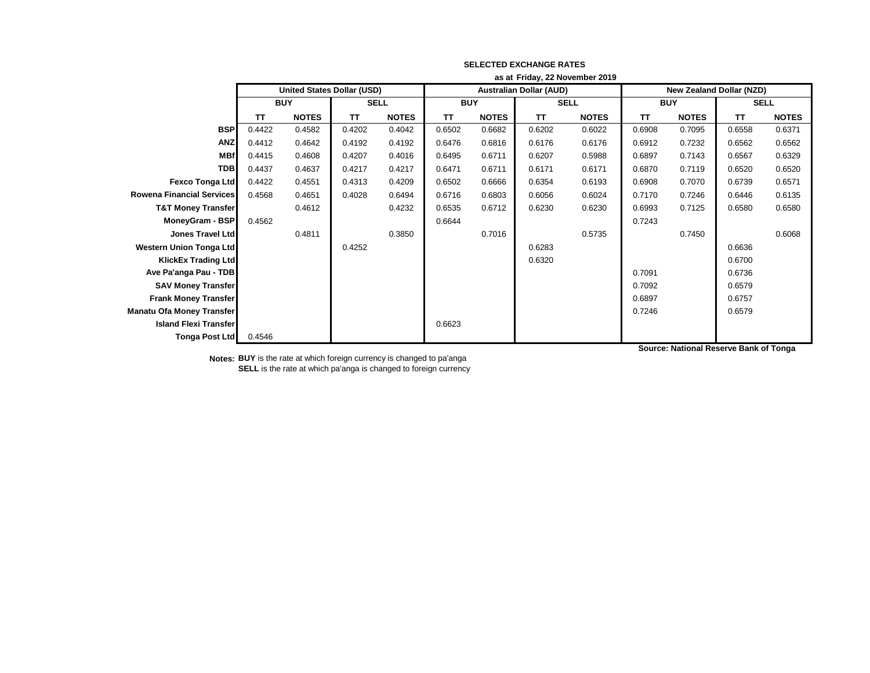|                                  | as at Friday, 22 November 2019    |              |             |              |            |              |                                |              |                                 |              |             |              |
|----------------------------------|-----------------------------------|--------------|-------------|--------------|------------|--------------|--------------------------------|--------------|---------------------------------|--------------|-------------|--------------|
|                                  | <b>United States Dollar (USD)</b> |              |             |              |            |              | <b>Australian Dollar (AUD)</b> |              | <b>New Zealand Dollar (NZD)</b> |              |             |              |
|                                  |                                   | <b>BUY</b>   | <b>SELL</b> |              | <b>BUY</b> |              | <b>SELL</b>                    |              | <b>BUY</b>                      |              | <b>SELL</b> |              |
|                                  | TT                                | <b>NOTES</b> | <b>TT</b>   | <b>NOTES</b> | TT         | <b>NOTES</b> | <b>TT</b>                      | <b>NOTES</b> | <b>TT</b>                       | <b>NOTES</b> | <b>TT</b>   | <b>NOTES</b> |
| <b>BSP</b>                       | 0.4422                            | 0.4582       | 0.4202      | 0.4042       | 0.6502     | 0.6682       | 0.6202                         | 0.6022       | 0.6908                          | 0.7095       | 0.6558      | 0.6371       |
| <b>ANZ</b>                       | 0.4412                            | 0.4642       | 0.4192      | 0.4192       | 0.6476     | 0.6816       | 0.6176                         | 0.6176       | 0.6912                          | 0.7232       | 0.6562      | 0.6562       |
| <b>MBf</b>                       | 0.4415                            | 0.4608       | 0.4207      | 0.4016       | 0.6495     | 0.6711       | 0.6207                         | 0.5988       | 0.6897                          | 0.7143       | 0.6567      | 0.6329       |
| <b>TDB</b>                       | 0.4437                            | 0.4637       | 0.4217      | 0.4217       | 0.6471     | 0.6711       | 0.6171                         | 0.6171       | 0.6870                          | 0.7119       | 0.6520      | 0.6520       |
| <b>Fexco Tonga Ltd</b>           | 0.4422                            | 0.4551       | 0.4313      | 0.4209       | 0.6502     | 0.6666       | 0.6354                         | 0.6193       | 0.6908                          | 0.7070       | 0.6739      | 0.6571       |
| <b>Rowena Financial Services</b> | 0.4568                            | 0.4651       | 0.4028      | 0.6494       | 0.6716     | 0.6803       | 0.6056                         | 0.6024       | 0.7170                          | 0.7246       | 0.6446      | 0.6135       |
| <b>T&amp;T Money Transfer</b>    |                                   | 0.4612       |             | 0.4232       | 0.6535     | 0.6712       | 0.6230                         | 0.6230       | 0.6993                          | 0.7125       | 0.6580      | 0.6580       |
| MoneyGram - BSP                  | 0.4562                            |              |             |              | 0.6644     |              |                                |              | 0.7243                          |              |             |              |
| <b>Jones Travel Ltd</b>          |                                   | 0.4811       |             | 0.3850       |            | 0.7016       |                                | 0.5735       |                                 | 0.7450       |             | 0.6068       |
| <b>Western Union Tonga Ltd</b>   |                                   |              | 0.4252      |              |            |              | 0.6283                         |              |                                 |              | 0.6636      |              |
| <b>KlickEx Trading Ltd</b>       |                                   |              |             |              |            |              | 0.6320                         |              |                                 |              | 0.6700      |              |
| Ave Pa'anga Pau - TDB            |                                   |              |             |              |            |              |                                |              | 0.7091                          |              | 0.6736      |              |
| <b>SAV Money Transfer</b>        |                                   |              |             |              |            |              |                                |              | 0.7092                          |              | 0.6579      |              |
| <b>Frank Money Transfer</b>      |                                   |              |             |              |            |              |                                |              | 0.6897                          |              | 0.6757      |              |
| <b>Manatu Ofa Money Transfer</b> |                                   |              |             |              |            |              |                                |              | 0.7246                          |              | 0.6579      |              |
| <b>Island Flexi Transfer</b>     |                                   |              |             |              | 0.6623     |              |                                |              |                                 |              |             |              |
| <b>Tonga Post Ltd</b>            | 0.4546                            |              |             |              |            |              |                                |              |                                 |              |             |              |

**Notes: BUY** is the rate at which foreign currency is changed to pa'anga **SELL** is the rate at which pa'anga is changed to foreign currency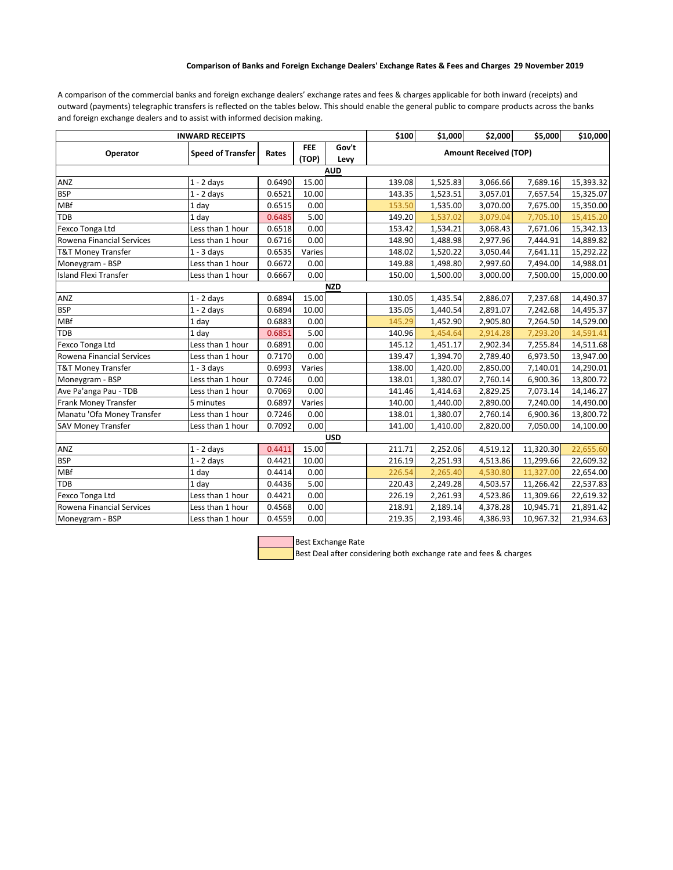## **Comparison of Banks and Foreign Exchange Dealers' Exchange Rates & Fees and Charges 29 November 2019**

A comparison of the commercial banks and foreign exchange dealers' exchange rates and fees & charges applicable for both inward (receipts) and outward (payments) telegraphic transfers is reflected on the tables below. This should enable the general public to compare products across the banks and foreign exchange dealers and to assist with informed decision making.

|                               | <b>INWARD RECEIPTS</b>   | \$100  | \$1,000             | \$2,000       | \$5,000                      | \$10,000 |          |           |           |  |  |  |
|-------------------------------|--------------------------|--------|---------------------|---------------|------------------------------|----------|----------|-----------|-----------|--|--|--|
| Operator                      | <b>Speed of Transfer</b> | Rates  | <b>FEE</b><br>(TOP) | Gov't<br>Levy | <b>Amount Received (TOP)</b> |          |          |           |           |  |  |  |
|                               |                          |        |                     |               |                              |          |          |           |           |  |  |  |
| ANZ                           | $1 - 2$ days             | 0.6490 | 15.00               |               | 139.08                       | 1,525.83 | 3,066.66 | 7,689.16  | 15,393.32 |  |  |  |
| <b>BSP</b>                    | $1 - 2$ days             | 0.6521 | 10.00               |               | 143.35                       | 1,523.51 | 3,057.01 | 7,657.54  | 15,325.07 |  |  |  |
| MBf                           | 1 day                    | 0.6515 | 0.00                |               | 153.50                       | 1,535.00 | 3,070.00 | 7,675.00  | 15,350.00 |  |  |  |
| <b>TDB</b>                    | 1 day                    | 0.6485 | 5.00                |               | 149.20                       | 1,537.02 | 3,079.04 | 7,705.10  | 15,415.20 |  |  |  |
| Fexco Tonga Ltd               | Less than 1 hour         | 0.6518 | 0.00                |               | 153.42                       | 1,534.21 | 3,068.43 | 7,671.06  | 15,342.13 |  |  |  |
| Rowena Financial Services     | Less than 1 hour         | 0.6716 | 0.00                |               | 148.90                       | 1,488.98 | 2,977.96 | 7,444.91  | 14,889.82 |  |  |  |
| <b>T&amp;T Money Transfer</b> | $1 - 3$ days             | 0.6535 | Varies              |               | 148.02                       | 1,520.22 | 3,050.44 | 7,641.11  | 15,292.22 |  |  |  |
| Moneygram - BSP               | Less than 1 hour         | 0.6672 | 0.00                |               | 149.88                       | 1,498.80 | 2,997.60 | 7,494.00  | 14,988.01 |  |  |  |
| <b>Island Flexi Transfer</b>  | Less than 1 hour         | 0.6667 | 0.00                |               | 150.00                       | 1,500.00 | 3,000.00 | 7,500.00  | 15,000.00 |  |  |  |
| <b>NZD</b>                    |                          |        |                     |               |                              |          |          |           |           |  |  |  |
| ANZ                           | $1 - 2$ days             | 0.6894 | 15.00               |               | 130.05                       | 1,435.54 | 2,886.07 | 7,237.68  | 14,490.37 |  |  |  |
| <b>BSP</b>                    | $1 - 2$ days             | 0.6894 | 10.00               |               | 135.05                       | 1,440.54 | 2,891.07 | 7,242.68  | 14,495.37 |  |  |  |
| MBf                           | 1 day                    | 0.6883 | 0.00                |               | 145.29                       | 1,452.90 | 2,905.80 | 7,264.50  | 14,529.00 |  |  |  |
| <b>TDB</b>                    | 1 day                    | 0.6851 | 5.00                |               | 140.96                       | 1,454.64 | 2,914.28 | 7,293.20  | 14,591.41 |  |  |  |
| Fexco Tonga Ltd               | Less than 1 hour         | 0.6891 | 0.00                |               | 145.12                       | 1,451.17 | 2,902.34 | 7,255.84  | 14,511.68 |  |  |  |
| Rowena Financial Services     | Less than 1 hour         | 0.7170 | 0.00                |               | 139.47                       | 1,394.70 | 2,789.40 | 6,973.50  | 13,947.00 |  |  |  |
| <b>T&amp;T Money Transfer</b> | $1 - 3$ days             | 0.6993 | Varies              |               | 138.00                       | 1,420.00 | 2,850.00 | 7,140.01  | 14,290.01 |  |  |  |
| Moneygram - BSP               | Less than 1 hour         | 0.7246 | 0.00                |               | 138.01                       | 1,380.07 | 2,760.14 | 6,900.36  | 13,800.72 |  |  |  |
| Ave Pa'anga Pau - TDB         | Less than 1 hour         | 0.7069 | 0.00                |               | 141.46                       | 1,414.63 | 2,829.25 | 7,073.14  | 14,146.27 |  |  |  |
| Frank Money Transfer          | 5 minutes                | 0.6897 | Varies              |               | 140.00                       | 1,440.00 | 2,890.00 | 7,240.00  | 14,490.00 |  |  |  |
| Manatu 'Ofa Money Transfer    | Less than 1 hour         | 0.7246 | 0.00                |               | 138.01                       | 1,380.07 | 2,760.14 | 6,900.36  | 13,800.72 |  |  |  |
| <b>SAV Money Transfer</b>     | Less than 1 hour         | 0.7092 | 0.00                |               | 141.00                       | 1,410.00 | 2,820.00 | 7,050.00  | 14,100.00 |  |  |  |
|                               |                          |        |                     | <b>USD</b>    |                              |          |          |           |           |  |  |  |
| ANZ                           | $1 - 2$ days             | 0.4411 | 15.00               |               | 211.71                       | 2,252.06 | 4,519.12 | 11,320.30 | 22,655.60 |  |  |  |
| <b>BSP</b>                    | $1 - 2$ days             | 0.4421 | 10.00               |               | 216.19                       | 2,251.93 | 4,513.86 | 11,299.66 | 22,609.32 |  |  |  |
| MBf                           | 1 day                    | 0.4414 | 0.00                |               | 226.54                       | 2,265.40 | 4,530.80 | 11,327.00 | 22,654.00 |  |  |  |
| <b>TDB</b>                    | 1 day                    | 0.4436 | 5.00                |               | 220.43                       | 2,249.28 | 4,503.57 | 11,266.42 | 22,537.83 |  |  |  |
| Fexco Tonga Ltd               | Less than 1 hour         | 0.4421 | 0.00                |               | 226.19                       | 2,261.93 | 4,523.86 | 11,309.66 | 22,619.32 |  |  |  |
| Rowena Financial Services     | Less than 1 hour         | 0.4568 | 0.00                |               | 218.91                       | 2,189.14 | 4,378.28 | 10,945.71 | 21,891.42 |  |  |  |
| Moneygram - BSP               | Less than 1 hour         | 0.4559 | 0.00                |               | 219.35                       | 2,193.46 | 4,386.93 | 10,967.32 | 21,934.63 |  |  |  |



Best Deal after considering both exchange rate and fees & charges